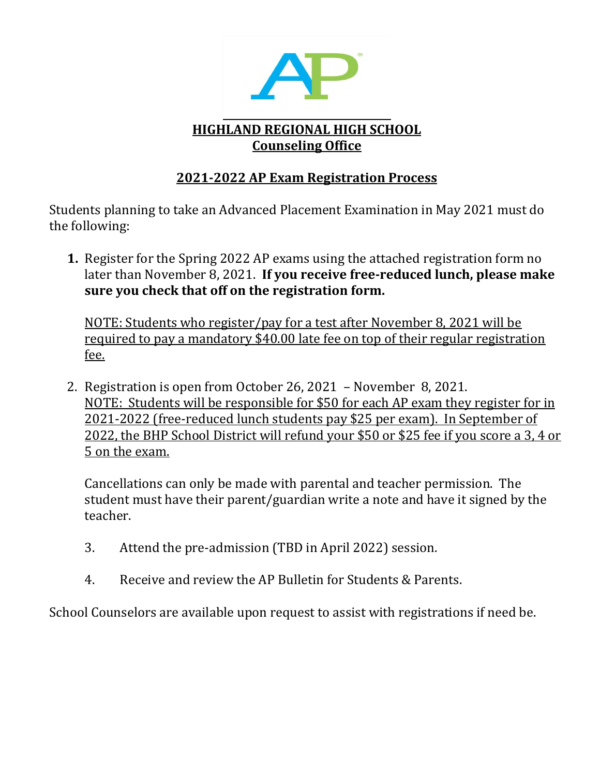

# **HIGHLAND REGIONAL HIGH SCHOOL Counseling Office**

## **2021-2022 AP Exam Registration Process**

Students planning to take an Advanced Placement Examination in May 2021 must do the following:

**1.** Register for the Spring 2022 AP exams using the attached registration form no later than November 8, 2021. **If you receive free-reduced lunch, please make sure you check that off on the registration form.** 

NOTE: Students who register/pay for a test after November 8, 2021 will be required to pay a mandatory \$40.00 late fee on top of their regular registration fee.

2. Registration is open from October 26, 2021 – November 8, 2021. NOTE: Students will be responsible for \$50 for each AP exam they register for in 2021-2022 (free-reduced lunch students pay \$25 per exam). In September of 2022, the BHP School District will refund your \$50 or \$25 fee if you score a 3, 4 or 5 on the exam.

Cancellations can only be made with parental and teacher permission. The student must have their parent/guardian write a note and have it signed by the teacher.

- 3. Attend the pre-admission (TBD in April 2022) session.
- 4. Receive and review the AP Bulletin for Students & Parents.

School Counselors are available upon request to assist with registrations if need be.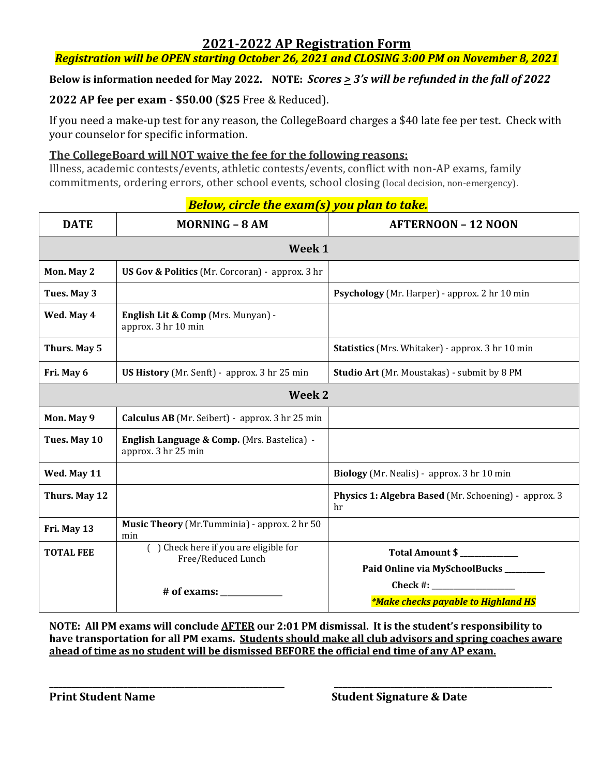### **2021-2022 AP Registration Form**

*Registration will be OPEN starting October 26, 2021 and CLOSING 3:00 PM on November 8, 2021*

Below is information needed for May 2022. NOTE:  $\text{Score} \geq 3$ 's will be refunded in the fall of 2022

#### **2022 AP fee per exam** - **\$50.00** (**\$25** Free & Reduced).

If you need a make-up test for any reason, the CollegeBoard charges a \$40 late fee per test. Check with your counselor for specific information.

#### **The CollegeBoard will NOT waive the fee for the following reasons:**

Illness, academic contests/events, athletic contests/events, conflict with non-AP exams, family commitments, ordering errors, other school events, school closing (local decision, non-emergency).

| <b>DATE</b>      | <u>owj en ele ene examply you plan to taken</u><br><b>MORNING - 8 AM</b> | <b>AFTERNOON - 12 NOON</b>                                 |
|------------------|--------------------------------------------------------------------------|------------------------------------------------------------|
| Week 1           |                                                                          |                                                            |
| Mon. May 2       | <b>US Gov &amp; Politics</b> (Mr. Corcoran) - approx. 3 hr               |                                                            |
| Tues. May 3      |                                                                          | Psychology (Mr. Harper) - approx. 2 hr 10 min              |
| Wed. May 4       | English Lit & Comp (Mrs. Munyan) -<br>approx. 3 hr 10 min                |                                                            |
| Thurs. May 5     |                                                                          | Statistics (Mrs. Whitaker) - approx. 3 hr 10 min           |
| Fri. May 6       | <b>US History</b> (Mr. Senft) - approx. 3 hr 25 min                      | Studio Art (Mr. Moustakas) - submit by 8 PM                |
| Week 2           |                                                                          |                                                            |
| Mon. May 9       | Calculus AB (Mr. Seibert) - approx. 3 hr 25 min                          |                                                            |
| Tues. May 10     | English Language & Comp. (Mrs. Bastelica) -<br>approx. 3 hr 25 min       |                                                            |
| Wed. May 11      |                                                                          | Biology (Mr. Nealis) - approx. 3 hr 10 min                 |
| Thurs. May 12    |                                                                          | Physics 1: Algebra Based (Mr. Schoening) - approx. 3<br>hr |
| Fri. May 13      | Music Theory (Mr.Tumminia) - approx. 2 hr 50<br>min                      |                                                            |
| <b>TOTAL FEE</b> | () Check here if you are eligible for<br>Free/Reduced Lunch              | Total Amount \$<br>Paid Online via MySchoolBucks_____      |
|                  | # of exams:                                                              | Check #:<br><i>*Make checks payable to Highland HS</i>     |

### *Below, circle the exam(s) you plan to take.*

**NOTE: All PM exams will conclude AFTER our 2:01 PM dismissal. It is the student's responsibility to have transportation for all PM exams. Students should make all club advisors and spring coaches aware ahead of time as no student will be dismissed BEFORE the official end time of any AP exam.**